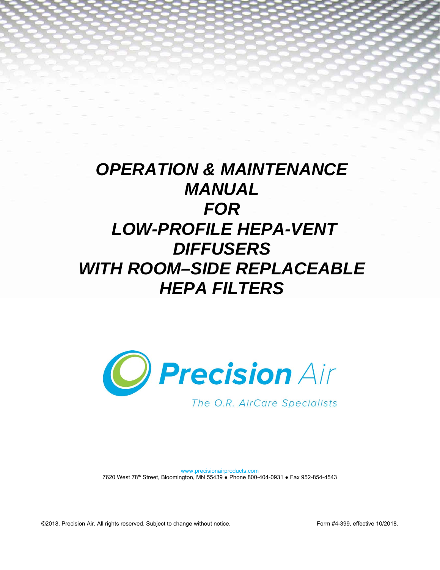# *OPERATION & MAINTENANCE MANUAL FOR LOW-PROFILE HEPA-VENT DIFFUSERS WITH ROOM–SIDE REPLACEABLE HEPA FILTERS*



The O.R. AirCare Specialists

www.precisionairproducts.com 7620 West 78th Street, Bloomington, MN 55439 ● Phone 800-404-0931 ● Fax 952-854-4543

©2018, Precision Air. All rights reserved. Subject to change without notice. Form #4-399, effective 10/2018.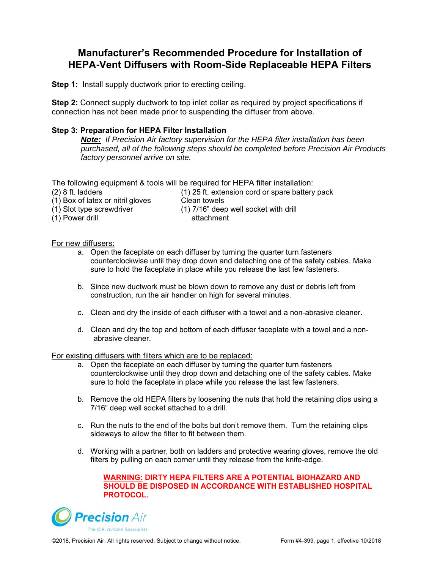## **Manufacturer's Recommended Procedure for Installation of HEPA-Vent Diffusers with Room-Side Replaceable HEPA Filters**

**Step 1:** Install supply ductwork prior to erecting ceiling.

**Step 2:** Connect supply ductwork to top inlet collar as required by project specifications if connection has not been made prior to suspending the diffuser from above.

### **Step 3: Preparation for HEPA Filter Installation**

*Note: If Precision Air factory supervision for the HEPA filter installation has been purchased, all of the following steps should be completed before Precision Air Products factory personnel arrive on site.* 

The following equipment & tools will be required for HEPA filter installation:

 $(1)$  Box of latex or nitril gloves<br>(1) Slot type screwdriver

 $(1)$  Power drill

(2) 8 ft. ladders (1) 25 ft. extension cord or spare battery pack Clean towels<br>(1) 7/16" deep well socket with drill<br>attachment

For new diffusers:

- a. Open the faceplate on each diffuser by turning the quarter turn fasteners counterclockwise until they drop down and detaching one of the safety cables. Make sure to hold the faceplate in place while you release the last few fasteners.
- b. Since new ductwork must be blown down to remove any dust or debris left from construction, run the air handler on high for several minutes.
- c. Clean and dry the inside of each diffuser with a towel and a non-abrasive cleaner.
- d. Clean and dry the top and bottom of each diffuser faceplate with a towel and a nonabrasive cleaner.

For existing diffusers with filters which are to be replaced:

- a. Open the faceplate on each diffuser by turning the quarter turn fasteners counterclockwise until they drop down and detaching one of the safety cables. Make sure to hold the faceplate in place while you release the last few fasteners.
- b. Remove the old HEPA filters by loosening the nuts that hold the retaining clips using a 7/16" deep well socket attached to a drill.
- c. Run the nuts to the end of the bolts but don't remove them. Turn the retaining clips sideways to allow the filter to fit between them.
- d. Working with a partner, both on ladders and protective wearing gloves, remove the old filters by pulling on each corner until they release from the knife-edge.

#### **WARNING: DIRTY HEPA FILTERS ARE A POTENTIAL BIOHAZARD AND SHOULD BE DISPOSED IN ACCORDANCE WITH ESTABLISHED HOSPITAL PROTOCOL.**

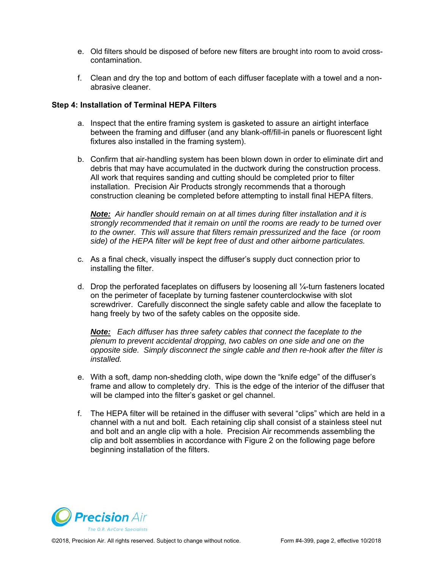- e. Old filters should be disposed of before new filters are brought into room to avoid crosscontamination.
- f. Clean and dry the top and bottom of each diffuser faceplate with a towel and a nonabrasive cleaner.

## **Step 4: Installation of Terminal HEPA Filters**

- a. Inspect that the entire framing system is gasketed to assure an airtight interface between the framing and diffuser (and any blank-off/fill-in panels or fluorescent light fixtures also installed in the framing system).
- b. Confirm that air-handling system has been blown down in order to eliminate dirt and debris that may have accumulated in the ductwork during the construction process. All work that requires sanding and cutting should be completed prior to filter installation. Precision Air Products strongly recommends that a thorough construction cleaning be completed before attempting to install final HEPA filters.

*Note: Air handler should remain on at all times during filter installation and it is strongly recommended that it remain on until the rooms are ready to be turned over to the owner. This will assure that filters remain pressurized and the face (or room side) of the HEPA filter will be kept free of dust and other airborne particulates.* 

- c. As a final check, visually inspect the diffuser's supply duct connection prior to installing the filter.
- d. Drop the perforated faceplates on diffusers by loosening all ¼-turn fasteners located on the perimeter of faceplate by turning fastener counterclockwise with slot screwdriver. Carefully disconnect the single safety cable and allow the faceplate to hang freely by two of the safety cables on the opposite side.

*Note: Each diffuser has three safety cables that connect the faceplate to the plenum to prevent accidental dropping, two cables on one side and one on the opposite side. Simply disconnect the single cable and then re-hook after the filter is installed.* 

- e. With a soft, damp non-shedding cloth, wipe down the "knife edge" of the diffuser's frame and allow to completely dry. This is the edge of the interior of the diffuser that will be clamped into the filter's gasket or gel channel.
- f. The HEPA filter will be retained in the diffuser with several "clips" which are held in a channel with a nut and bolt. Each retaining clip shall consist of a stainless steel nut and bolt and an angle clip with a hole. Precision Air recommends assembling the clip and bolt assemblies in accordance with Figure 2 on the following page before beginning installation of the filters.

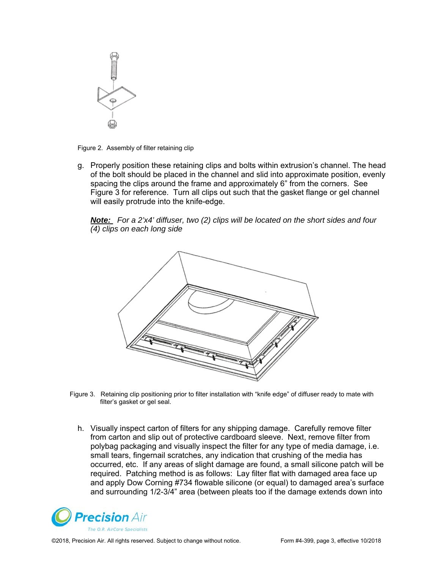

Figure 2. Assembly of filter retaining clip

g. Properly position these retaining clips and bolts within extrusion's channel. The head of the bolt should be placed in the channel and slid into approximate position, evenly spacing the clips around the frame and approximately 6" from the corners. See Figure 3 for reference. Turn all clips out such that the gasket flange or gel channel will easily protrude into the knife-edge.

*Note: For a 2'x4' diffuser, two (2) clips will be located on the short sides and four (4) clips on each long side* 



 Figure 3. Retaining clip positioning prior to filter installation with "knife edge" of diffuser ready to mate with filter's gasket or gel seal.

h. Visually inspect carton of filters for any shipping damage. Carefully remove filter from carton and slip out of protective cardboard sleeve. Next, remove filter from polybag packaging and visually inspect the filter for any type of media damage, i.e. small tears, fingernail scratches, any indication that crushing of the media has occurred, etc. If any areas of slight damage are found, a small silicone patch will be required. Patching method is as follows: Lay filter flat with damaged area face up and apply Dow Corning #734 flowable silicone (or equal) to damaged area's surface and surrounding 1/2-3/4" area (between pleats too if the damage extends down into



©2018, Precision Air. All rights reserved. Subject to change without notice. Form #4-399, page 3, effective 10/2018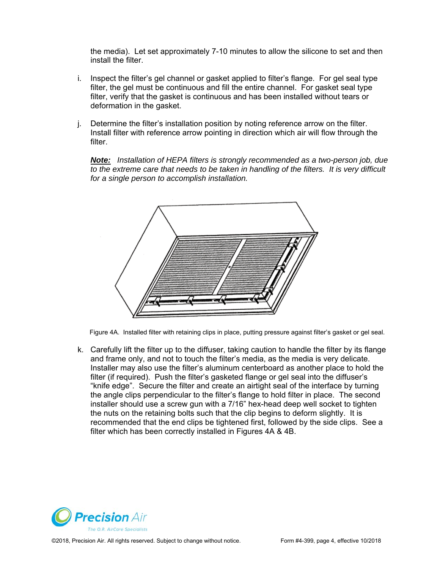the media). Let set approximately 7-10 minutes to allow the silicone to set and then install the filter.

- i. Inspect the filter's gel channel or gasket applied to filter's flange. For gel seal type filter, the gel must be continuous and fill the entire channel. For gasket seal type filter, verify that the gasket is continuous and has been installed without tears or deformation in the gasket.
- j. Determine the filter's installation position by noting reference arrow on the filter. Install filter with reference arrow pointing in direction which air will flow through the filter.

*Note: Installation of HEPA filters is strongly recommended as a two-person job, due to the extreme care that needs to be taken in handling of the filters. It is very difficult for a single person to accomplish installation.* 



Figure 4A. Installed filter with retaining clips in place, putting pressure against filter's gasket or gel seal.

k. Carefully lift the filter up to the diffuser, taking caution to handle the filter by its flange and frame only, and not to touch the filter's media, as the media is very delicate. Installer may also use the filter's aluminum centerboard as another place to hold the filter (if required). Push the filter's gasketed flange or gel seal into the diffuser's "knife edge". Secure the filter and create an airtight seal of the interface by turning the angle clips perpendicular to the filter's flange to hold filter in place. The second installer should use a screw gun with a 7/16" hex-head deep well socket to tighten the nuts on the retaining bolts such that the clip begins to deform slightly. It is recommended that the end clips be tightened first, followed by the side clips. See a filter which has been correctly installed in Figures 4A & 4B.



©2018, Precision Air. All rights reserved. Subject to change without notice. Form #4-399, page 4, effective 10/2018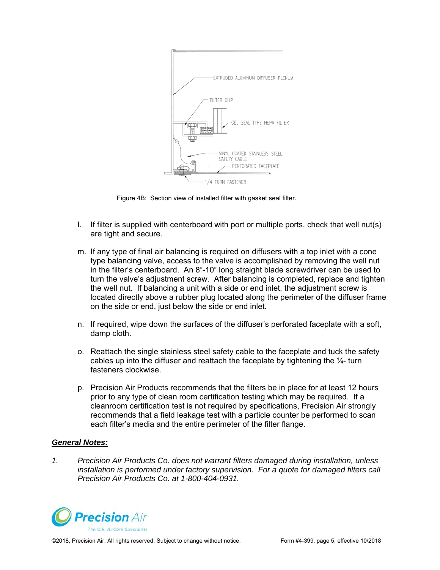

Figure 4B: Section view of installed filter with gasket seal filter.

- l. If filter is supplied with centerboard with port or multiple ports, check that well nut(s) are tight and secure.
- m. If any type of final air balancing is required on diffusers with a top inlet with a cone type balancing valve, access to the valve is accomplished by removing the well nut in the filter's centerboard. An 8"-10" long straight blade screwdriver can be used to turn the valve's adjustment screw. After balancing is completed, replace and tighten the well nut. If balancing a unit with a side or end inlet, the adjustment screw is located directly above a rubber plug located along the perimeter of the diffuser frame on the side or end, just below the side or end inlet.
- n. If required, wipe down the surfaces of the diffuser's perforated faceplate with a soft, damp cloth.
- o. Reattach the single stainless steel safety cable to the faceplate and tuck the safety cables up into the diffuser and reattach the faceplate by tightening the  $\frac{1}{4}$ - turn fasteners clockwise.
- p. Precision Air Products recommends that the filters be in place for at least 12 hours prior to any type of clean room certification testing which may be required. If a cleanroom certification test is not required by specifications, Precision Air strongly recommends that a field leakage test with a particle counter be performed to scan each filter's media and the entire perimeter of the filter flange.

#### *General Notes:*

*1. Precision Air Products Co. does not warrant filters damaged during installation, unless installation is performed under factory supervision. For a quote for damaged filters call Precision Air Products Co. at 1-800-404-0931.* 

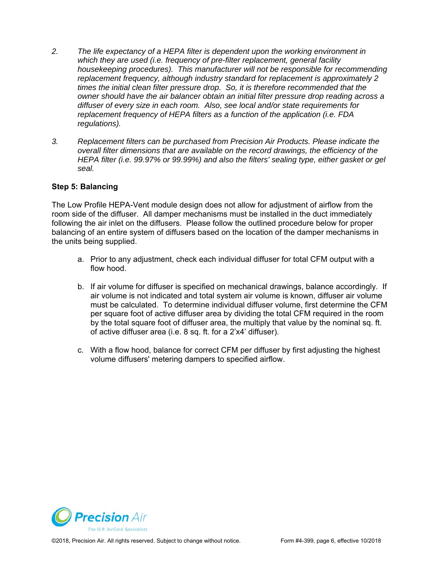- *2. The life expectancy of a HEPA filter is dependent upon the working environment in which they are used (i.e. frequency of pre-filter replacement, general facility housekeeping procedures). This manufacturer will not be responsible for recommending replacement frequency, although industry standard for replacement is approximately 2 times the initial clean filter pressure drop. So, it is therefore recommended that the owner should have the air balancer obtain an initial filter pressure drop reading across a diffuser of every size in each room. Also, see local and/or state requirements for replacement frequency of HEPA filters as a function of the application (i.e. FDA regulations).*
- *3. Replacement filters can be purchased from Precision Air Products. Please indicate the overall filter dimensions that are available on the record drawings, the efficiency of the HEPA filter (i.e. 99.97% or 99.99%) and also the filters' sealing type, either gasket or gel seal.*

## **Step 5: Balancing**

The Low Profile HEPA-Vent module design does not allow for adjustment of airflow from the room side of the diffuser. All damper mechanisms must be installed in the duct immediately following the air inlet on the diffusers. Please follow the outlined procedure below for proper balancing of an entire system of diffusers based on the location of the damper mechanisms in the units being supplied.

- a. Prior to any adjustment, check each individual diffuser for total CFM output with a flow hood.
- b. If air volume for diffuser is specified on mechanical drawings, balance accordingly. If air volume is not indicated and total system air volume is known, diffuser air volume must be calculated. To determine individual diffuser volume, first determine the CFM per square foot of active diffuser area by dividing the total CFM required in the room by the total square foot of diffuser area, the multiply that value by the nominal sq. ft. of active diffuser area (i.e. 8 sq. ft. for a 2'x4' diffuser).
- c. With a flow hood, balance for correct CFM per diffuser by first adjusting the highest volume diffusers' metering dampers to specified airflow.



©2018, Precision Air. All rights reserved. Subject to change without notice. Form #4-399, page 6, effective 10/2018